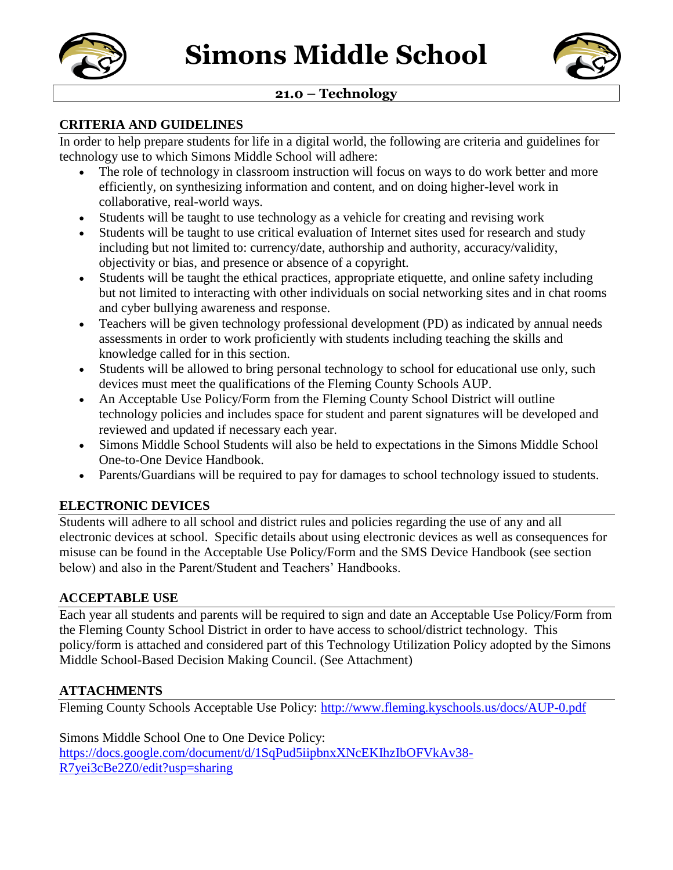



## **21.0 – Technology**

#### **CRITERIA AND GUIDELINES**

In order to help prepare students for life in a digital world, the following are criteria and guidelines for technology use to which Simons Middle School will adhere:

- The role of technology in classroom instruction will focus on ways to do work better and more efficiently, on synthesizing information and content, and on doing higher-level work in collaborative, real-world ways.
- Students will be taught to use technology as a vehicle for creating and revising work
- Students will be taught to use critical evaluation of Internet sites used for research and study including but not limited to: currency/date, authorship and authority, accuracy/validity, objectivity or bias, and presence or absence of a copyright.
- Students will be taught the ethical practices, appropriate etiquette, and online safety including but not limited to interacting with other individuals on social networking sites and in chat rooms and cyber bullying awareness and response.
- Teachers will be given technology professional development (PD) as indicated by annual needs assessments in order to work proficiently with students including teaching the skills and knowledge called for in this section.
- Students will be allowed to bring personal technology to school for educational use only, such devices must meet the qualifications of the Fleming County Schools AUP.
- An Acceptable Use Policy/Form from the Fleming County School District will outline technology policies and includes space for student and parent signatures will be developed and reviewed and updated if necessary each year.
- Simons Middle School Students will also be held to expectations in the Simons Middle School One-to-One Device Handbook.
- Parents/Guardians will be required to pay for damages to school technology issued to students.

## **ELECTRONIC DEVICES**

Students will adhere to all school and district rules and policies regarding the use of any and all electronic devices at school. Specific details about using electronic devices as well as consequences for misuse can be found in the Acceptable Use Policy/Form and the SMS Device Handbook (see section below) and also in the Parent/Student and Teachers' Handbooks.

## **ACCEPTABLE USE**

Each year all students and parents will be required to sign and date an Acceptable Use Policy/Form from the Fleming County School District in order to have access to school/district technology. This policy/form is attached and considered part of this Technology Utilization Policy adopted by the Simons Middle School-Based Decision Making Council. (See Attachment)

## **ATTACHMENTS**

Fleming County Schools Acceptable Use Policy:<http://www.fleming.kyschools.us/docs/AUP-0.pdf>

Simons Middle School One to One Device Policy: [https://docs.google.com/document/d/1SqPud5iipbnxXNcEKIhzIbOFVkAv38-](https://docs.google.com/document/d/1SqPud5iipbnxXNcEKIhzIbOFVkAv38-R7yei3cBe2Z0/edit?usp=sharing) [R7yei3cBe2Z0/edit?usp=sharing](https://docs.google.com/document/d/1SqPud5iipbnxXNcEKIhzIbOFVkAv38-R7yei3cBe2Z0/edit?usp=sharing)